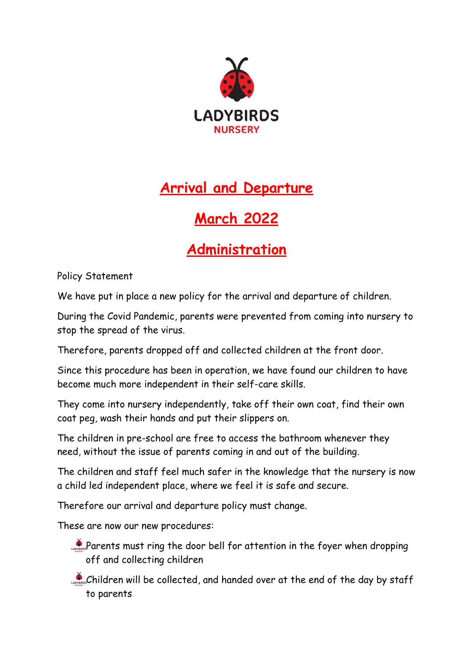

## **Arrival and Departure**

## **March 2022**

## **Administration**

Policy Statement

We have put in place a new policy for the arrival and departure of children.

During the Covid Pandemic, parents were prevented from coming into nursery to stop the spread of the virus.

Therefore, parents dropped off and collected children at the front door.

Since this procedure has been in operation, we have found our children to have become much more independent in their self-care skills.

They come into nursery independently, take off their own coat, find their own coat peg, wash their hands and put their slippers on.

The children in pre-school are free to access the bathroom whenever they need, without the issue of parents coming in and out of the building.

The children and staff feel much safer in the knowledge that the nursery is now a child led independent place, where we feel it is safe and secure.

Therefore our arrival and departure policy must change.

These are now our new procedures:

- Parents must ring the door bell for attention in the foyer when dropping off and collecting children
- Children will be collected, and handed over at the end of the day by staff to parents